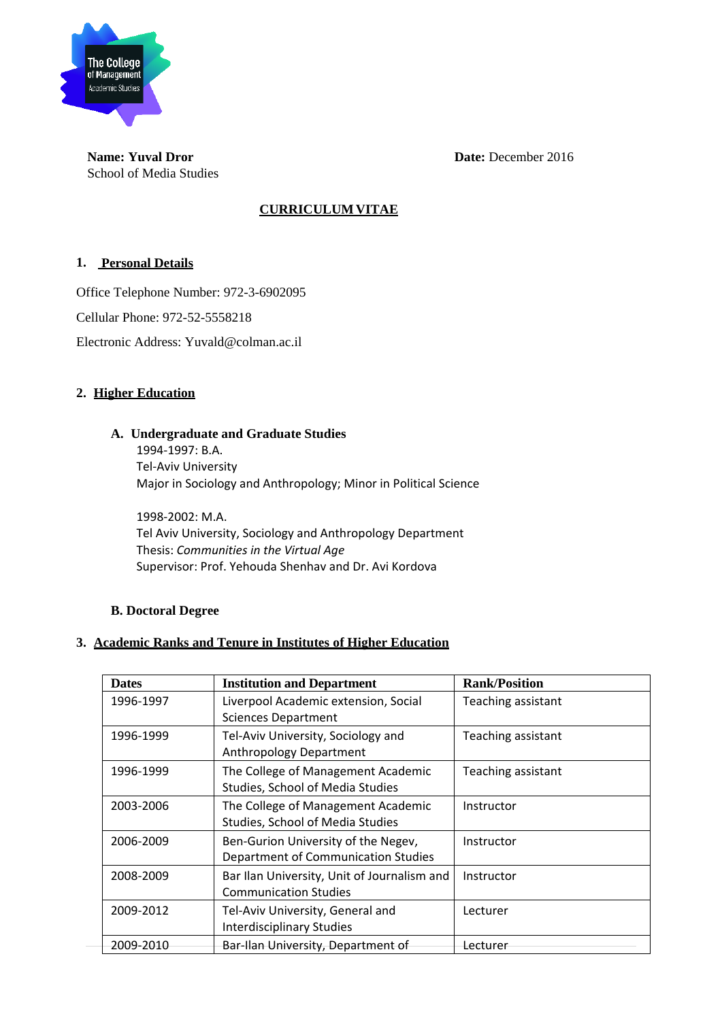

**Name: Yuval Dror Date:** December 2016 School of Media Studies

# **CURRICULUM VITAE**

### **1. Personal Details**

Office Telephone Number: 972-3-6902095 Cellular Phone: 972-52-5558218 Electronic Address: Yuvald@colman.ac.il

### **2. Higher Education**

### **A. Undergraduate and Graduate Studies**

1994‐1997: B.A. Tel‐Aviv University Major in Sociology and Anthropology; Minor in Political Science

1998‐2002: M.A. Tel Aviv University, Sociology and Anthropology Department Thesis: *Communities in the Virtual Age* Supervisor: Prof. Yehouda Shenhav and Dr. Avi Kordova

### **B. Doctoral Degree**

## **3. Academic Ranks and Tenure in Institutes of Higher Education**

| <b>Dates</b> | <b>Institution and Department</b>                                           | <b>Rank/Position</b> |
|--------------|-----------------------------------------------------------------------------|----------------------|
| 1996-1997    | Liverpool Academic extension, Social<br><b>Sciences Department</b>          | Teaching assistant   |
| 1996-1999    | Tel-Aviv University, Sociology and<br>Anthropology Department               | Teaching assistant   |
| 1996-1999    | The College of Management Academic<br>Studies, School of Media Studies      | Teaching assistant   |
| 2003-2006    | The College of Management Academic<br>Studies, School of Media Studies      | Instructor           |
| 2006-2009    | Ben-Gurion University of the Negev,<br>Department of Communication Studies  | Instructor           |
| 2008-2009    | Bar Ilan University, Unit of Journalism and<br><b>Communication Studies</b> | Instructor           |
| 2009-2012    | Tel-Aviv University, General and<br><b>Interdisciplinary Studies</b>        | Lecturer             |
| 2009-2010    | Bar-Ilan University, Department of                                          | Lecturer             |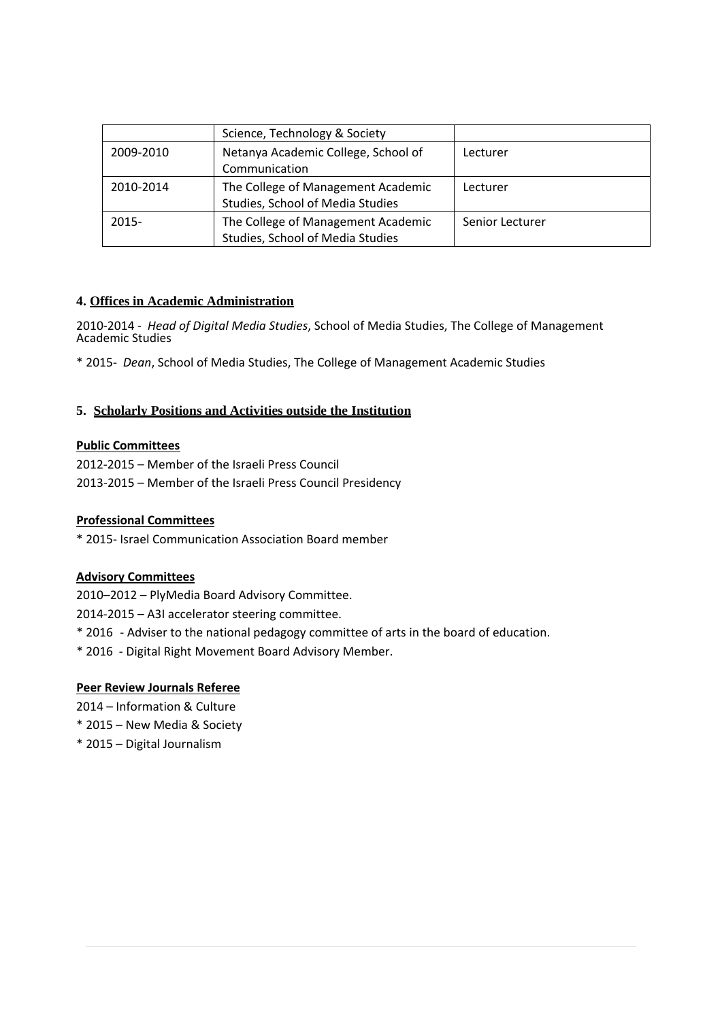|           | Science, Technology & Society                                          |                 |
|-----------|------------------------------------------------------------------------|-----------------|
| 2009-2010 | Netanya Academic College, School of<br>Communication                   | Lecturer        |
| 2010-2014 | The College of Management Academic<br>Studies, School of Media Studies | Lecturer        |
| $2015 -$  | The College of Management Academic<br>Studies, School of Media Studies | Senior Lecturer |

### **4. Offices in Academic Administration**

2010‐2014 ‐ *Head of Digital Media Studies*, School of Media Studies, The College of Management Academic Studies

\* 2015‐ *Dean*, School of Media Studies, The College of Management Academic Studies

#### **5. Scholarly Positions and Activities outside the Institution**

#### **Public Committees**

2012‐2015 – Member of the Israeli Press Council 2013‐2015 – Member of the Israeli Press Council Presidency

#### **Professional Committees**

\* 2015‐ Israel Communication Association Board member

#### **Advisory Committees**

2010–2012 – PlyMedia Board Advisory Committee.

2014‐2015 – A3I accelerator steering committee.

- \* 2016 ‐ Adviser to the national pedagogy committee of arts in the board of education.
- \* 2016 ‐ Digital Right Movement Board Advisory Member.

### **Peer Review Journals Referee**

2014 – Information & Culture

- \* 2015 New Media & Society
- \* 2015 Digital Journalism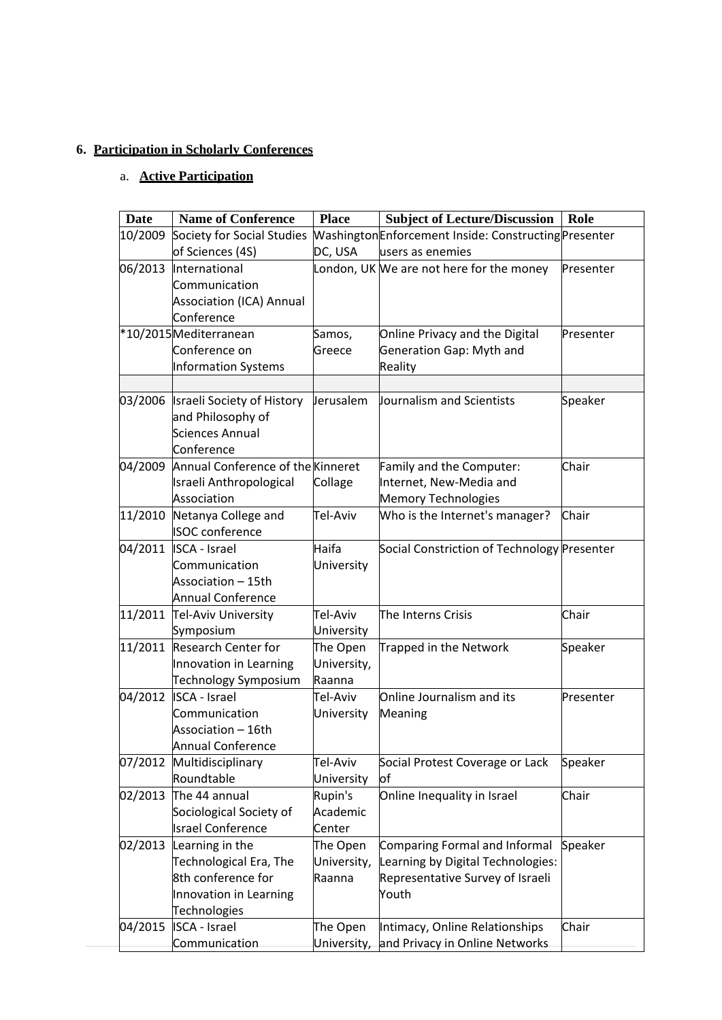# **6. Participation in Scholarly Conferences**

# a. **Active Participation**

| <b>Date</b> | <b>Name of Conference</b>                   | <b>Place</b>        | <b>Subject of Lecture/Discussion</b>                  | Role      |
|-------------|---------------------------------------------|---------------------|-------------------------------------------------------|-----------|
| 10/2009     | Society for Social Studies                  |                     | Washington Enforcement Inside: Constructing Presenter |           |
|             | of Sciences (4S)                            | DC, USA             | users as enemies                                      |           |
| 06/2013     | International                               |                     | London, UK We are not here for the money              | Presenter |
|             | Communication                               |                     |                                                       |           |
|             | <b>Association (ICA) Annual</b>             |                     |                                                       |           |
|             | Conference                                  |                     |                                                       |           |
|             | *10/2015Mediterranean                       | Samos,              | Online Privacy and the Digital                        | Presenter |
|             | Conference on                               | Greece              | Generation Gap: Myth and                              |           |
|             | <b>Information Systems</b>                  |                     | Reality                                               |           |
|             |                                             |                     |                                                       |           |
|             | 03/2006  Israeli Society of History         | Jerusalem           | Journalism and Scientists                             | Speaker   |
|             | and Philosophy of<br><b>Sciences Annual</b> |                     |                                                       |           |
|             | Conference                                  |                     |                                                       |           |
| 04/2009     | Annual Conference of the Kinneret           |                     | Family and the Computer:                              | Chair     |
|             | Israeli Anthropological                     | Collage             | Internet, New-Media and                               |           |
|             | Association                                 |                     | Memory Technologies                                   |           |
| 11/2010     | Netanya College and                         | Tel-Aviv            | Who is the Internet's manager?                        | Chair     |
|             | <b>ISOC</b> conference                      |                     |                                                       |           |
|             | 04/2011 ISCA - Israel                       | Haifa               | Social Constriction of Technology Presenter           |           |
|             | Communication                               | University          |                                                       |           |
|             | Association - 15th                          |                     |                                                       |           |
|             | <b>Annual Conference</b>                    |                     |                                                       |           |
|             | 11/2011 Tel-Aviv University                 | Tel-Aviv            | The Interns Crisis                                    | Chair     |
|             | Symposium                                   | University          |                                                       |           |
| 11/2011     | <b>Research Center for</b>                  | The Open            | Trapped in the Network                                | Speaker   |
|             | Innovation in Learning                      | University,         |                                                       |           |
|             | Technology Symposium                        | Raanna              |                                                       |           |
| 04/2012     | <b>ISCA - Israel</b>                        | Tel-Aviv            | Online Journalism and its                             | Presenter |
|             | Communication                               | University          | Meaning                                               |           |
|             | Association - 16th                          |                     |                                                       |           |
|             | <b>Annual Conference</b>                    |                     |                                                       |           |
| 07/2012     | Multidisciplinary                           | Tel-Aviv            | Social Protest Coverage or Lack                       | Speaker   |
|             | Roundtable                                  | University          | lof                                                   |           |
| 02/2013     | The 44 annual<br>Sociological Society of    | Rupin's<br>Academic | Online Inequality in Israel                           | Chair     |
|             | <b>Israel Conference</b>                    | Center              |                                                       |           |
| 02/2013     | Learning in the                             | The Open            | <b>Comparing Formal and Informal</b>                  | Speaker   |
|             | Technological Era, The                      | University,         | Learning by Digital Technologies:                     |           |
|             | 8th conference for                          | Raanna              | Representative Survey of Israeli                      |           |
|             | Innovation in Learning                      |                     | Youth                                                 |           |
|             | <b>Technologies</b>                         |                     |                                                       |           |
| 04/2015     | <b>ISCA - Israel</b>                        | The Open            | Intimacy, Online Relationships                        | Chair     |
|             | Communication                               | University,         | and Privacy in Online Networks                        |           |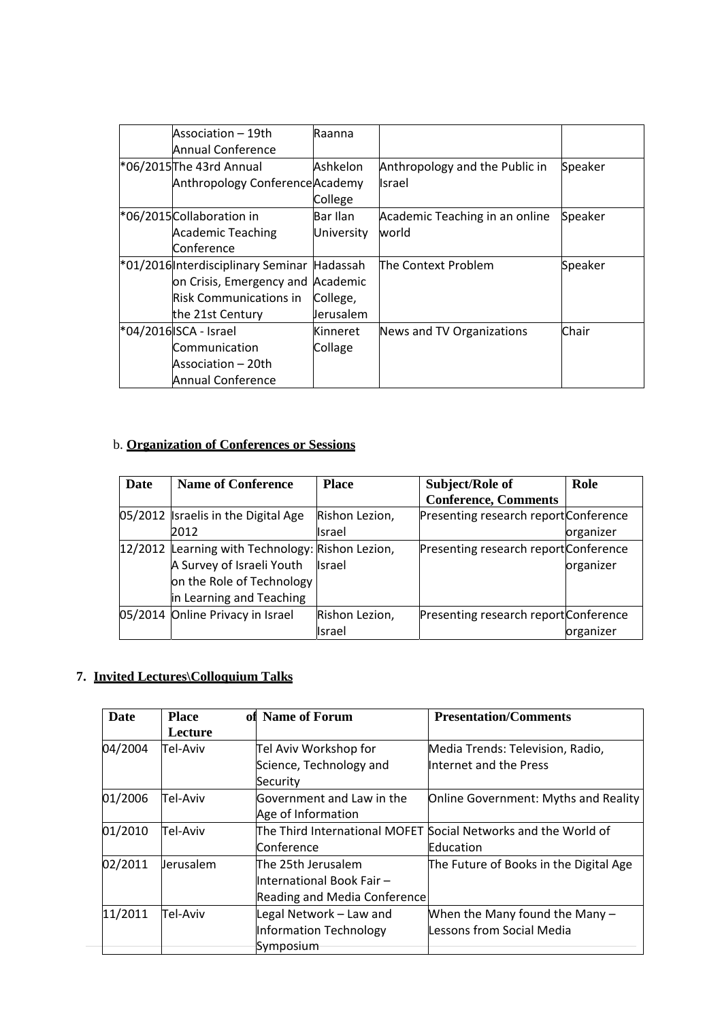| Association – 19th<br>Annual Conference     | Raanna     |                                |         |
|---------------------------------------------|------------|--------------------------------|---------|
| *06/2015 The 43rd Annual                    | Ashkelon   | Anthropology and the Public in | Speaker |
| Anthropology Conference Academy             |            | <b>Israel</b>                  |         |
|                                             | College    |                                |         |
| *06/2015 Collaboration in                   | Bar Ilan   | Academic Teaching in an online | Speaker |
| Academic Teaching                           | University | world                          |         |
| Conference                                  |            |                                |         |
| *01/2016 Interdisciplinary Seminar Hadassah |            | The Context Problem            | Speaker |
| on Crisis, Emergency and Academic           |            |                                |         |
| Risk Communications in                      | College,   |                                |         |
| the 21st Century                            | Jerusalem  |                                |         |
| *04/2016 ISCA - Israel                      | Kinneret   | News and TV Organizations      | Chair   |
| Communication                               | Collage    |                                |         |
| Association – 20th                          |            |                                |         |
| <b>Annual Conference</b>                    |            |                                |         |

# b. **Organization of Conferences or Sessions**

| Date | <b>Name of Conference</b>                        | <b>Place</b>   | Subject/Role of                       | Role      |
|------|--------------------------------------------------|----------------|---------------------------------------|-----------|
|      |                                                  |                | <b>Conference, Comments</b>           |           |
|      | 05/2012 Israelis in the Digital Age              | Rishon Lezion, | Presenting research report Conference |           |
|      | 2012                                             | Israel         |                                       | organizer |
|      | 12/2012 Learning with Technology: Rishon Lezion, |                | Presenting research report Conference |           |
|      | A Survey of Israeli Youth                        | <b>Israel</b>  |                                       | organizer |
|      | on the Role of Technology                        |                |                                       |           |
|      | in Learning and Teaching                         |                |                                       |           |
|      | 05/2014 Online Privacy in Israel                 | Rishon Lezion, | Presenting research report Conference |           |
|      |                                                  | Israel         |                                       | organizer |

# **7. Invited Lectures\Colloquium Talks**

| Date    | <b>Place</b><br>Lecture | of Name of Forum                                                                | <b>Presentation/Comments</b>                                |
|---------|-------------------------|---------------------------------------------------------------------------------|-------------------------------------------------------------|
| 04/2004 | Tel-Aviv                | Tel Aviv Workshop for                                                           | Media Trends: Television, Radio,                            |
|         |                         | Science, Technology and<br>Security                                             | Internet and the Press                                      |
| 01/2006 | Tel-Aviv                | Government and Law in the<br>Age of Information                                 | Online Government: Myths and Reality                        |
| 01/2010 | Tel-Aviv                | The Third International MOFET Social Networks and the World of                  |                                                             |
|         |                         | Conference                                                                      | Education                                                   |
| 02/2011 | lerusalem               | The 25th Jerusalem<br>International Book Fair -<br>Reading and Media Conference | The Future of Books in the Digital Age                      |
| 11/2011 | Tel-Aviv                | Legal Network - Law and<br>Information Technology<br>Symposium                  | When the Many found the Many -<br>Lessons from Social Media |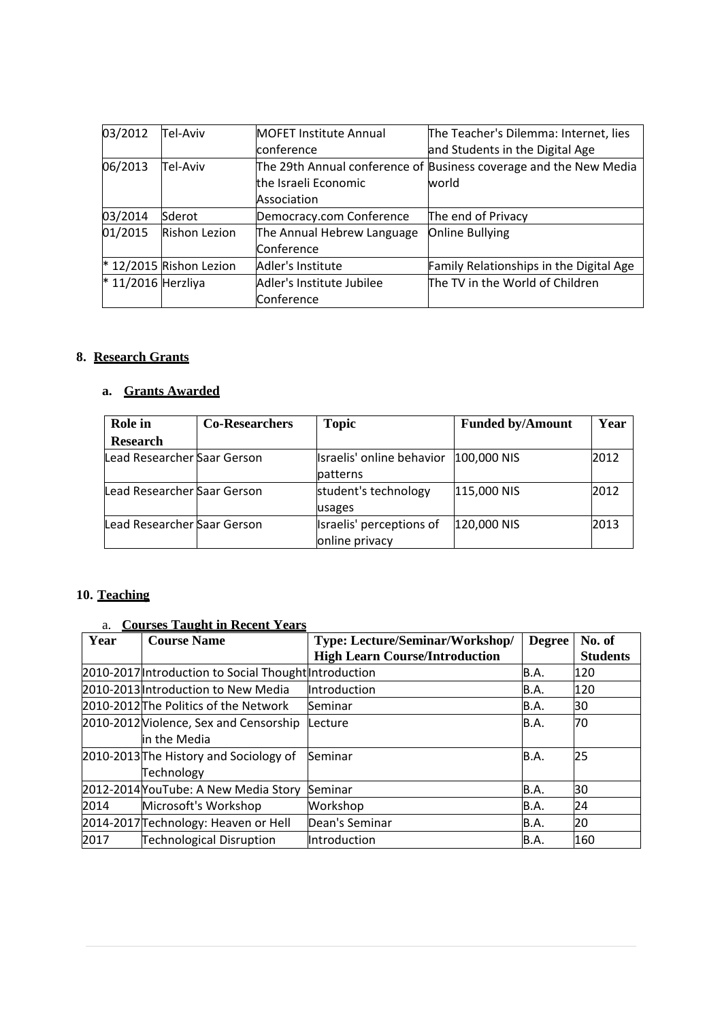| 03/2012              | Tel-Aviv                  | <b>MOFET Institute Annual</b> | The Teacher's Dilemma: Internet, lies                             |
|----------------------|---------------------------|-------------------------------|-------------------------------------------------------------------|
|                      |                           | conference                    | and Students in the Digital Age                                   |
| 06/2013              | Tel-Aviv                  |                               | The 29th Annual conference of Business coverage and the New Media |
|                      |                           | the Israeli Economic          | world                                                             |
|                      |                           | Association                   |                                                                   |
| 03/2014              | Sderot                    | Democracy.com Conference      | The end of Privacy                                                |
| 01/2015              | <b>Rishon Lezion</b>      | The Annual Hebrew Language    | Online Bullying                                                   |
|                      |                           | Conference                    |                                                                   |
|                      | $*$ 12/2015 Rishon Lezion | Adler's Institute             | Family Relationships in the Digital Age                           |
| $*$ 11/2016 Herzliya |                           | Adler's Institute Jubilee     | The TV in the World of Children                                   |
|                      |                           | Conference                    |                                                                   |

# **8. Research Grants**

# **a. Grants Awarded**

| Role in                     | <b>Co-Researchers</b> | <b>Topic</b>                               | <b>Funded by/Amount</b> | Year |
|-----------------------------|-----------------------|--------------------------------------------|-------------------------|------|
| <b>Research</b>             |                       |                                            |                         |      |
| Lead Researcher Saar Gerson |                       | Israelis' online behavior<br>patterns      | 100,000 NIS             | 2012 |
| Lead Researcher Saar Gerson |                       | student's technology<br>usages             | 115,000 NIS             | 2012 |
| Lead Researcher Saar Gerson |                       | Israelis' perceptions of<br>online privacy | 120,000 NIS             | 2013 |

# **10. Teaching**

# a. **Courses Taught in Recent Years**

| Year | <b>Course Name</b>                                    | <b>Type: Lecture/Seminar/Workshop/</b> | <b>Degree</b> | No. of          |
|------|-------------------------------------------------------|----------------------------------------|---------------|-----------------|
|      |                                                       | <b>High Learn Course/Introduction</b>  |               | <b>Students</b> |
|      | 2010-2017 Introduction to Social Thought Introduction |                                        | B.A.          | 120             |
|      | 2010-2013 Introduction to New Media                   | Introduction                           | B.A.          | 120             |
|      | 2010-2012 The Politics of the Network                 | Seminar                                | B.A.          | 30              |
|      | 2010-2012 Violence, Sex and Censorship                | Lecture                                | B.A.          | 70              |
|      | in the Media                                          |                                        |               |                 |
|      | 2010-2013 The History and Sociology of                | Seminar                                | B.A.          | 25              |
|      | Technology                                            |                                        |               |                 |
|      | 2012-2014 You Tube: A New Media Story                 | Seminar                                | B.A.          | 30              |
| 2014 | Microsoft's Workshop                                  | Workshop                               | B.A.          | 24              |
|      | 2014-2017 Technology: Heaven or Hell                  | Dean's Seminar                         | B.A.          | 20              |
| 2017 | <b>Technological Disruption</b>                       | Introduction                           | B.A.          | 160             |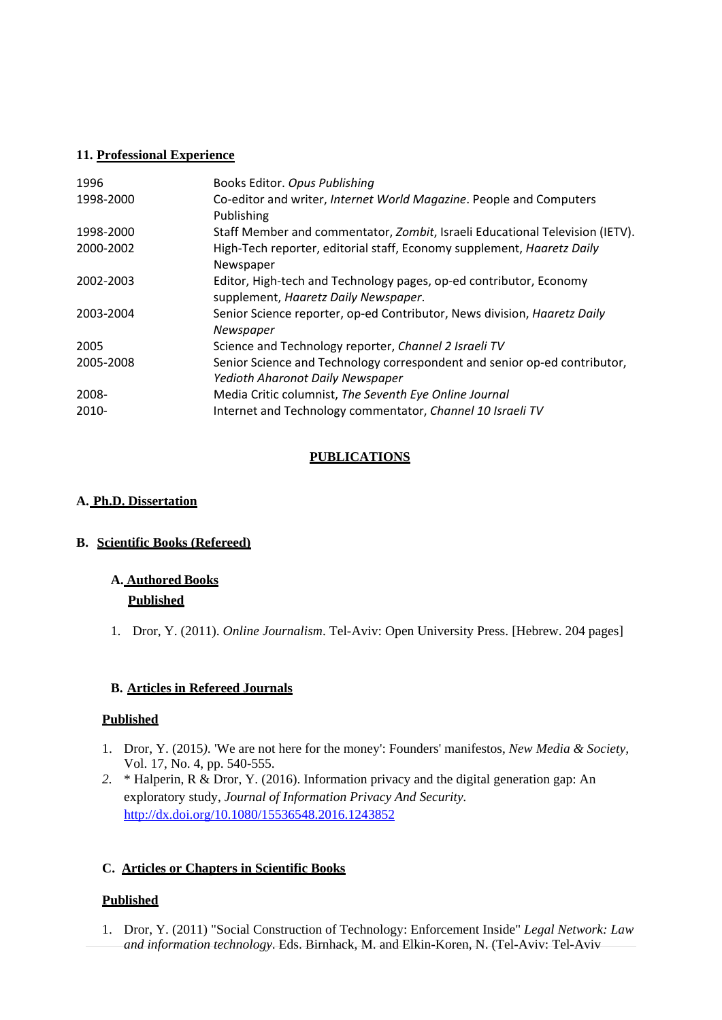### **11. Professional Experience**

| 1996      | Books Editor. Opus Publishing                                                |
|-----------|------------------------------------------------------------------------------|
| 1998-2000 | Co-editor and writer, Internet World Magazine. People and Computers          |
|           | Publishing                                                                   |
| 1998-2000 | Staff Member and commentator, Zombit, Israeli Educational Television (IETV). |
| 2000-2002 | High-Tech reporter, editorial staff, Economy supplement, Haaretz Daily       |
|           | Newspaper                                                                    |
| 2002-2003 | Editor, High-tech and Technology pages, op-ed contributor, Economy           |
|           | supplement, Haaretz Daily Newspaper.                                         |
| 2003-2004 | Senior Science reporter, op-ed Contributor, News division, Haaretz Daily     |
|           | Newspaper                                                                    |
| 2005      | Science and Technology reporter, Channel 2 Israeli TV                        |
| 2005-2008 | Senior Science and Technology correspondent and senior op-ed contributor,    |
|           | Yedioth Aharonot Daily Newspaper                                             |
| 2008-     | Media Critic columnist, The Seventh Eye Online Journal                       |
| 2010-     | Internet and Technology commentator, Channel 10 Israeli TV                   |

# **PUBLICATIONS**

## **A. Ph.D. Dissertation**

# **B. Scientific Books (Refereed)**

# **A. Authored Books**

# **Published**

1. Dror, Y. (2011). *Online Journalism*. Tel-Aviv: Open University Press. [Hebrew. 204 pages]

# **B. Articles in Refereed Journals**

### **Published**

- 1. Dror, Y. (2015*).* 'We are not here for the money': Founders' manifestos, *New Media & Society,* Vol. 17, No. 4, pp. 540-555.
- *2.* \* Halperin, R & Dror, Y. (2016). Information privacy and the digital generation gap: An exploratory study, *Journal of Information Privacy And Security.*  http://dx.doi.org/10.1080/15536548.2016.1243852

# **C. Articles or Chapters in Scientific Books**

# **Published**

1. Dror, Y. (2011) "Social Construction of Technology: Enforcement Inside" *Legal Network: Law and information technology*. Eds. Birnhack, M. and Elkin-Koren, N. (Tel-Aviv: Tel-Aviv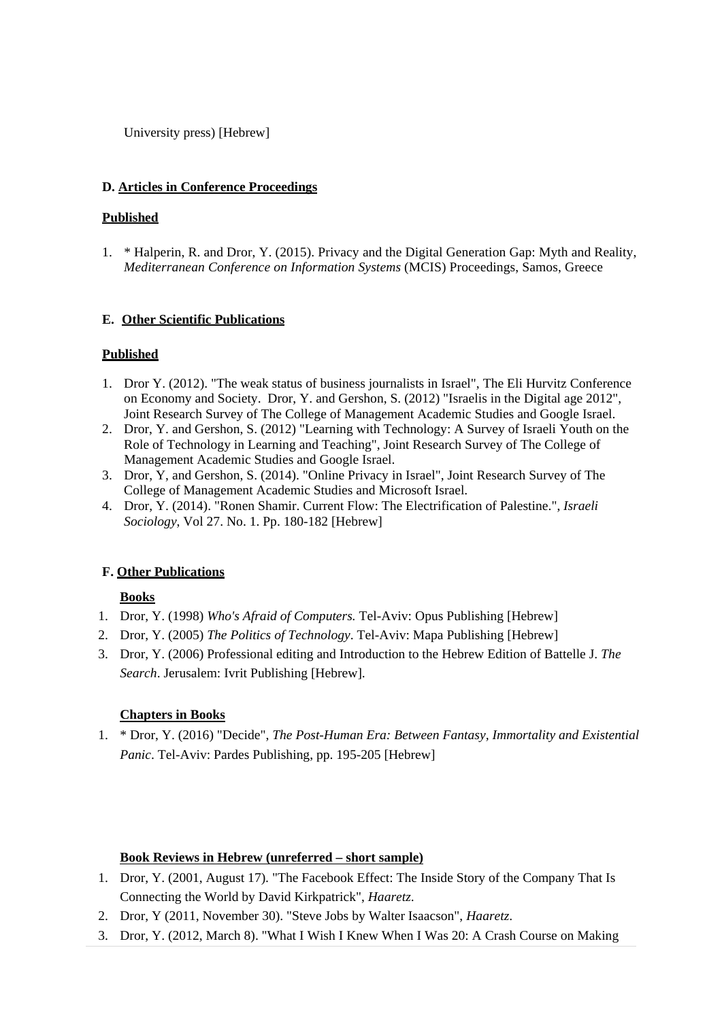University press) [Hebrew]

### **D. Articles in Conference Proceedings**

### **Published**

1. \* Halperin, R. and Dror, Y. (2015). Privacy and the Digital Generation Gap: Myth and Reality, *Mediterranean Conference on Information Systems* (MCIS) Proceedings, Samos, Greece

## **E. Other Scientific Publications**

## **Published**

- 1. Dror Y. (2012). "The weak status of business journalists in Israel", The Eli Hurvitz Conference on Economy and Society. Dror, Y. and Gershon, S. (2012) "Israelis in the Digital age 2012", Joint Research Survey of The College of Management Academic Studies and Google Israel.
- 2. Dror, Y. and Gershon, S. (2012) "Learning with Technology: A Survey of Israeli Youth on the Role of Technology in Learning and Teaching", Joint Research Survey of The College of Management Academic Studies and Google Israel.
- 3. Dror, Y, and Gershon, S. (2014). "Online Privacy in Israel", Joint Research Survey of The College of Management Academic Studies and Microsoft Israel.
- 4. Dror, Y. (2014). "Ronen Shamir. Current Flow: The Electrification of Palestine.", *Israeli Sociology*, Vol 27. No. 1. Pp. 180-182 [Hebrew]

# **F. Other Publications**

# **Books**

- 1. Dror, Y. (1998) *Who's Afraid of Computers.* Tel-Aviv: Opus Publishing [Hebrew]
- 2. Dror, Y. (2005) *The Politics of Technology*. Tel-Aviv: Mapa Publishing [Hebrew]
- 3. Dror, Y. (2006) Professional editing and Introduction to the Hebrew Edition of Battelle J. *The Search*. Jerusalem: Ivrit Publishing [Hebrew].

### **Chapters in Books**

1. \* Dror, Y. (2016) "Decide", *The Post-Human Era: Between Fantasy, Immortality and Existential Panic*. Tel-Aviv: Pardes Publishing, pp. 195-205 [Hebrew]

### **Book Reviews in Hebrew (unreferred – short sample)**

- 1. Dror, Y. (2001, August 17). "The Facebook Effect: The Inside Story of the Company That Is Connecting the World by David Kirkpatrick", *Haaretz*.
- 2. Dror, Y (2011, November 30). "Steve Jobs by Walter Isaacson", *Haaretz*.
- 3. Dror, Y. (2012, March 8). "What I Wish I Knew When I Was 20: A Crash Course on Making